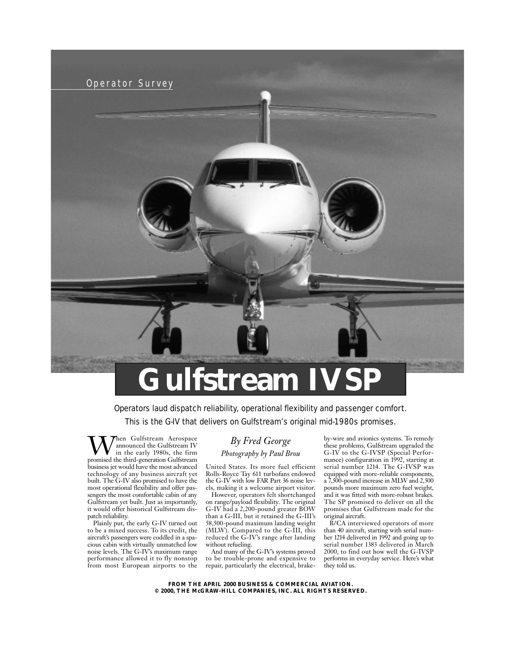

# **Gulfstream IV**

Operators laud dispatch reliability, operational flexibility and passenger comfort.

This is the G-IV that delivers on Gulfstream's original mid-1980s promises.

**W**hen Gulfstream Aerospace<br>in the early 1980s, the firm<br>promised the third-generation Gulfstream announced the Gulfstream IV in the early 1980s, the firm business jet would have the most advanced technology of any business aircraft yet built. The G-IV also promised to have the most operational flexibility and offer passengers the most comfortable cabin of any Gulfstream yet built. Just as importantly, it would offer historical Gulfstream dispatch reliability.

Plainly put, the early G-IV turned out to be a mixed success. To its credit, the aircraft's passengers were coddled in a spacious cabin with virtually unmatched low noise levels. The G-IV's maximum range performance allowed it to fly nonstop from most European airports to the

# *By Fred George*

## *Photography by Paul Brou*

United States. Its more fuel efficient Rolls-Royce Tay 611 turbofans endowed the G-IV with low FAR Part 36 noise levels, making it a welcome airport visitor.

However, operators felt shortchanged on range/payload flexibility. The original G-IV had a 2,200-pound greater BOW than a G-III, but it retained the G-III's 58,500-pound maximum landing weight (MLW). Compared to the G-III, this reduced the G-IV's range after landing without refueling.

And many of the G-IV's systems proved to be trouble-prone and expensive to repair, particularly the electrical, brakeby-wire and avionics systems. To remedy these problems, Gulfstream upgraded the G-IV to the G-IVSP (Special Performance) configuration in 1992, starting at serial number 1214. The G-IVSP was equipped with more-reliable components, a 7,500-pound increase in MLW and 2,500 pounds more maximum zero fuel weight, and it was fitted with more-robust brakes. The SP promised to deliver on all the promises that Gulfstream made for the original aircraft.

B/CA interviewed operators of more than 40 aircraft, starting with serial number 1214 delivered in 1992 and going up to serial number 1383 delivered in March 2000, to find out how well the G-IVSP performs in everyday service. Here's what they told us.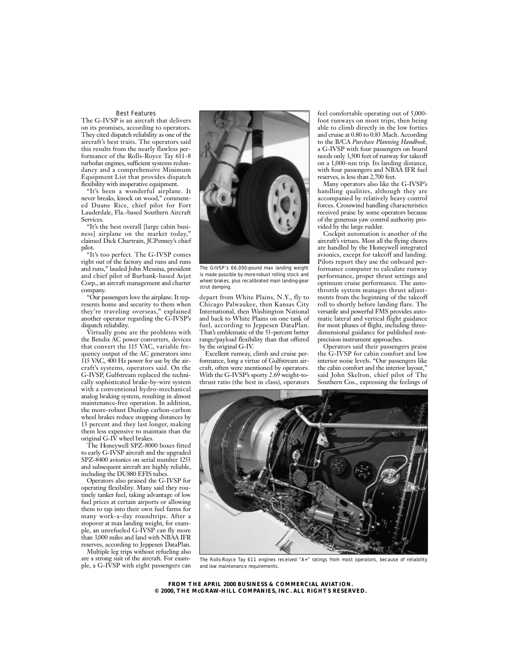#### Best Features

The G-IVSP is an aircraft that delivers on its promises, according to operators. They cited dispatch reliability as one of the aircraft's best traits. The operators said this results from the nearly flawless performance of the Rolls-Royce Tay 611-8 turbofan engines, sufficient systems redundancy and a comprehensive Minimum Equipment List that provides dispatch flexibility with inoperative equipment.

"It's been a wonderful airplane. It never breaks, knock on wood," commented Duane Rice, chief pilot for Fort Lauderdale, Fla.-based Southern Aircraft Services.

"It's the best overall [large cabin business] airplane on the market today. claimed Dick Chartrain, JCPenney's chief pilot.

"It's too perfect. The G-IVSP comes right out of the factory and runs and runs and runs," lauded John Messina, president and chief pilot of Burbank-based Avjet Corp., an aircraft management and charter company.

"Our passengers love the airplane. It represents home and security to them when they're traveling overseas," explained another operator regarding the G-IVSP's dispatch reliability.

Virtually gone are the problems with the Bendix AC power converters, devices that convert the 115 VAC, variable frequency output of the AC generators into 115 VAC, 400 Hz power for use by the aircraft's systems, operators said. On the G-IVSP, Gulfstream replaced the technically sophisticated brake-by-wire system with a conventional hydro-mechanical analog braking system, resulting in almost maintenance-free operation. In addition, the more-robust Dunlop carbon-carbon wheel brakes reduce stopping distances by 13 percent and they last longer, making them less expensive to maintain than the original G-IV wheel brakes.

The Honeywell SPZ-8000 boxes fitted to early G-IVSP aircraft and the upgraded SPZ-8400 avionics on serial number 1253 and subsequent aircraft are highly reliable, including the DU880 EFIS tubes.

Operators also praised the G-IVSP for operating flexibility. Many said they routinely tanker fuel, taking advantage of low fuel prices at certain airports or allowing them to tap into their own fuel farms for many work-a-day roundtrips. After a stopover at max landing weight, for example, an unrefueled G-IVSP can fly more than 3,000 miles and land with NBAA IFR reserves, according to Jeppesen DataPlan.

Multiple leg trips without refueling also are a strong suit of the aircraft. For example, a G-IVSP with eight passengers can



*The G-IVSP's 66,000-pound max landing weight is made possible by more-robust rolling stock and wheel brakes, plus recalibrated main landing-gear strut damping.*

depart from White Plains, N.Y., fly to Chicago Palwaukee, then Kansas City International, then Washington National and back to White Plains on one tank of fuel, according to Jeppesen DataPlan. That's emblematic of the 53-percent better range/payload flexibility than that offered by the original G-IV.

Excellent runway, climb and cruise performance, long a virtue of Gulfstream aircraft, often were mentioned by operators. With the G-IVSP's sporty 2.69 weight-tothrust ratio (the best in class), operators

feel comfortable operating out of 5,000 foot runways on most trips, then being able to climb directly in the low forties and cruise at 0.80 to 0.83 Mach. According to the B/CA *Purchase Planning Handbook,* a G-IVSP with four passengers on board needs only 3,500 feet of runway for takeoff on a 1,000-nm trip. Its landing distance, with four passengers and NBAA IFR fuel reserves, is less than 2,700 feet.

Many operators also like the G-IVSP's handling qualities, although they are accompanied by relatively heavy control forces. Crosswind handling characteristics received praise by some operators because of the generous yaw control authority provided by the large rudder.

Cockpit automation is another of the aircraft's virtues. Most all the flying chores are handled by the Honeywell integrated avionics, except for takeoff and landing. Pilots report they use the onboard performance computer to calculate runway performance, proper thrust settings and optimum cruise performance. The autothrottle system manages thrust adjustments from the beginning of the takeoff roll to shortly before landing flare. The versatile and powerful FMS provides automatic lateral and vertical flight guidance for most phases of flight, including threedimensional guidance for published nonprecision instrument approaches.

Operators said their passengers praise the G-IVSP for cabin comfort and low interior noise levels. "Our passengers like the cabin comfort and the interior layout," said John Skelton, chief pilot of The Southern Cos., expressing the feelings of



*The Rolls-Royce Tay 611 engines received "A+" ratings from most operators, because of reliability and low maintenance requirements.*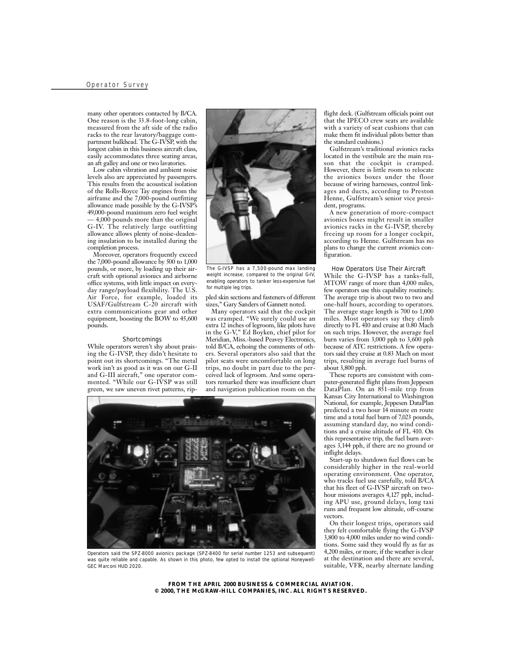many other operators contacted by B/CA. One reason is the 33.8-foot-long cabin, measured from the aft side of the radio racks to the rear lavatory/baggage compartment bulkhead. The G-IVSP, with the longest cabin in this business aircraft class, easily accommodates three seating areas, an aft galley and one or two lavatories.

Low cabin vibration and ambient noise levels also are appreciated by passengers. This results from the acoustical isolation of the Rolls-Royce Tay engines from the airframe and the 7,000-pound outfitting allowance made possible by the G-IVSP's 49,000-pound maximum zero fuel weight — 4,000 pounds more than the original G-IV. The relatively large outfitting allowance allows plenty of noise-deadening insulation to be installed during the completion process.

Moreover, operators frequently exceed the  $7,000$ -pound allowance by  $500$  to  $1,000$ pounds, or more, by loading up their aircraft with optional avionics and airborne office systems, with little impact on everyday range/payload flexibility. The U.S. Air Force, for example, loaded its USAF/Gulfstream C-20 aircraft with extra communications gear and other equipment, boosting the BOW to 45,600 pounds.

#### **Shortcomings**

While operators weren't shy about praising the G-IVSP, they didn't hesitate to point out its shortcomings. "The metal work isn't as good as it was on our G-II and G-III aircraft," one operator commented. "While our G-IVSP was still green, we saw uneven rivet patterns, rip-



*The G-IVSP has a 7,500-pound max landing weight increase, compared to the original G-IV, enabling operators to tanker less-expensive fuel for multiple leg trips.*

pled skin sections and fasteners of different sizes," Gary Sanders of Gannett noted.

Many operators said that the cockpit was cramped. "We surely could use an extra 12 inches of legroom, like pilots have in the G-V," Ed Boyken, chief pilot for Meridian, Miss.-based Peavey Electronics, told B/CA, echoing the comments of others. Several operators also said that the pilot seats were uncomfortable on long trips, no doubt in part due to the perceived lack of legroom. And some operators remarked there was insufficient chart and navigation publication room on the



*Operators said the SPZ-8000 avionics package (SPZ-8400 for serial number 1253 and subsequent) was quite reliable and capable. As shown in this photo, few opted to install the optional Honeywell-GEC Marconi HUD 2020.*

flight deck. (Gulfstream officials point out that the IPECO crew seats are available with a variety of seat cushions that can make them fit individual pilots better than the standard cushions.)

Gulfstream's traditional avionics racks located in the vestibule are the main reason that the cockpit is cramped. However, there is little room to relocate the avionics boxes under the floor because of wiring harnesses, control linkages and ducts, according to Preston Henne, Gulfstream's senior vice president, programs.

A new generation of more-compact avionics boxes might result in smaller avionics racks in the G-IVSP, thereby freeing up room for a longer cockpit, according to Henne. Gulfstream has no plans to change the current avionics configuration.

#### How Operators Use Their Aircraft

While the G-IVSP has a tanks-full, MTOW range of more than 4,000 miles, few operators use this capability routinely. The average trip is about two to two and one-half hours, according to operators. The average stage length is 700 to 1,000 miles. Most operators say they climb directly to FL 410 and cruise at 0.80 Mach on such trips. However, the average fuel burn varies from 3,000 pph to 3,600 pph because of ATC restrictions. A few operators said they cruise at 0.83 Mach on most trips, resulting in average fuel burns of about 3,800 pph.

These reports are consistent with computer-generated flight plans from Jeppesen DataPlan. On an 851-mile trip from Kansas City International to Washington National, for example, Jeppesen DataPlan predicted a two hour 14 minute en route time and a total fuel burn of 7,023 pounds, assuming standard day, no wind conditions and a cruise altitude of FL 410. On this representative trip, the fuel burn averages 3,144 pph, if there are no ground or inflight delays.

Start-up to shutdown fuel flows can be considerably higher in the real-world operating environment. One operator, who tracks fuel use carefully, told B/CA that his fleet of G-IVSP aircraft on twohour missions averages 4,127 pph, including APU use, ground delays, long taxi runs and frequent low altitude, off-course vectors.

On their longest trips, operators said they felt comfortable flying the G-IVSP 3,800 to 4,000 miles under no wind conditions. Some said they would fly as far as 4,200 miles, or more, if the weather is clear at the destination and there are several, suitable, VFR, nearby alternate landing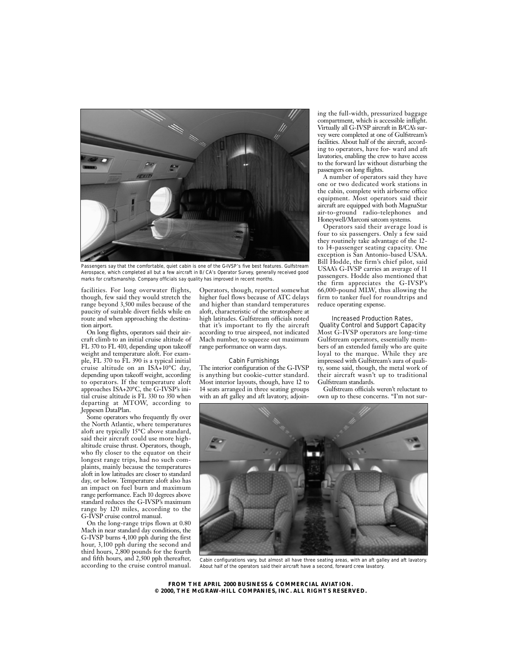

*Passengers say that the comfortable, quiet cabin is one of the G-IVSP's five best features. Gulfstream Aerospace, which completed all but a few aircraft in B/CA's Operator Survey, generally received good marks for craftsmanship. Company officials say quality has improved in recent months.*

facilities. For long overwater flights, though, few said they would stretch the range beyond 3,500 miles because of the paucity of suitable divert fields while en route and when approaching the destination airport.

On long flights, operators said their aircraft climb to an initial cruise altitude of FL 370 to FL 410, depending upon takeoff weight and temperature aloft. For example, FL 370 to FL 390 is a typical initial cruise altitude on an ISA+10°C day, depending upon takeoff weight, according to operators. If the temperature aloft approaches ISA+20°C, the G-IVSP's initial cruise altitude is FL 330 to 350 when departing at MTOW, according to Jeppesen DataPlan.

Some operators who frequently fly over the North Atlantic, where temperatures aloft are typically 15°C above standard, said their aircraft could use more highaltitude cruise thrust. Operators, though, who fly closer to the equator on their longest range trips, had no such complaints, mainly because the temperatures aloft in low latitudes are closer to standard day, or below. Temperature aloft also has an impact on fuel burn and maximum range performance. Each 10 degrees above standard reduces the G-IVSP's maximum range by 120 miles, according to the G-IVSP cruise control manual.

On the long-range trips flown at 0.80 Mach in near standard day conditions, the G-IVSP burns 4,100 pph during the first hour, 3,100 pph during the second and third hours, 2,800 pounds for the fourth and fifth hours, and 2,500 pph thereafter, according to the cruise control manual.

Operators, though, reported somewhat higher fuel flows because of ATC delays and higher than standard temperatures aloft, characteristic of the stratosphere at high latitudes. Gulfstream officials noted that it's important to fly the aircraft according to true airspeed, not indicated Mach number, to squeeze out maximum range performance on warm days.

#### Cabin Furnishings

The interior configuration of the G-IVSP is anything but cookie-cutter standard. Most interior layouts, though, have 12 to 14 seats arranged in three seating groups with an aft galley and aft lavatory, adjoining the full-width, pressurized baggage compartment, which is accessible inflight. Virtually all G-IVSP aircraft in B/CA's survey were completed at one of Gulfstream's facilities. About half of the aircraft, according to operators, have for- ward and aft lavatories, enabling the crew to have access to the forward lav without disturbing the passengers on long flights.

A number of operators said they have one or two dedicated work stations in the cabin, complete with airborne office equipment. Most operators said their aircraft are equipped with both MagnaStar air-to-ground radio-telephones and Honeywell/Marconi satcom systems.

Operators said their average load is four to six passengers. Only a few said they routinely take advantage of the 12 to 14-passenger seating capacity. One exception is San Antonio-based USAA. Bill Hodde, the firm's chief pilot, said USAA's G-IVSP carries an average of 11 passengers. Hodde also mentioned that the firm appreciates the G-IVSP's 66,000-pound MLW, thus allowing the firm to tanker fuel for roundtrips and reduce operating expense.

### Increased Production Rates,

Quality Control and Support Capacity Most G-IVSP operators are long-time Gulfstream operators, essentially members of an extended family who are quite loyal to the marque. While they are impressed with Gulfstream's aura of quality, some said, though, the metal work of their aircraft wasn't up to traditional Gulfstream standards.

Gulfstream officials weren't reluctant to own up to these concerns. "I'm not sur-



*Cabin configurations vary, but almost all have three seating areas, with an aft galley and aft lavatory. About half of the operators said their aircraft have a second, forward crew lavatory.*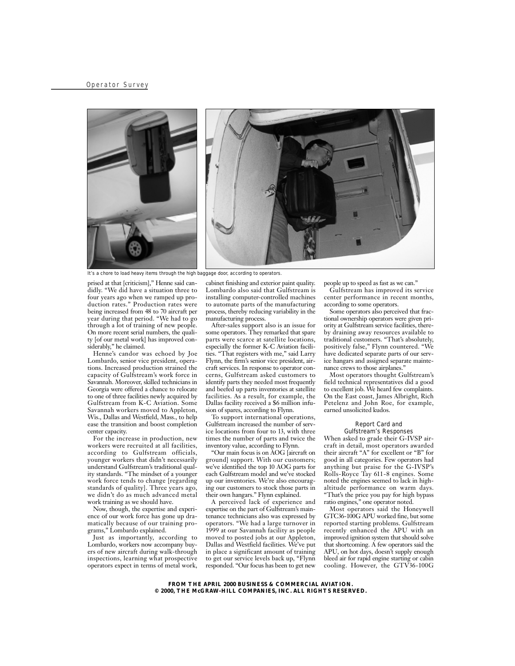



*It's a chore to load heavy items through the high baggage door, according to operators.*

prised at that [criticism]," Henne said candidly. "We did have a situation three to four years ago when we ramped up production rates." Production rates were being increased from 48 to 70 aircraft per year during that period. "We had to go through a lot of training of new people. On more recent serial numbers, the quality [of our metal work] has improved considerably," he claimed.

Henne's candor was echoed by Joe Lombardo, senior vice president, operations. Increased production strained the capacity of Gulfstream's work force in Savannah. Moreover, skilled technicians in Georgia were offered a chance to relocate to one of three facilities newly acquired by Gulfstream from K-C Aviation. Some Savannah workers moved to Appleton, Wis., Dallas and Westfield, Mass., to help ease the transition and boost completion center capacity.

For the increase in production, new workers were recruited at all facilities, according to Gulfstream officials, younger workers that didn't necessarily understand Gulfstream's traditional quality standards. "The mindset of a younger work force tends to change [regarding standards of quality]. Three years ago, we didn't do as much advanced metal work training as we should have.

Now, though, the expertise and experience of our work force has gone up dramatically because of our training programs," Lombardo explained.

Just as importantly, according to Lombardo, workers now accompany buyers of new aircraft during walk-through inspections, learning what prospective operators expect in terms of metal work,

cabinet finishing and exterior paint quality. Lombardo also said that Gulfstream is installing computer-controlled machines to automate parts of the manufacturing process, thereby reducing variability in the manufacturing process.

After-sales support also is an issue for some operators. They remarked that spare parts were scarce at satellite locations, especially the former K-C Aviation facilities. "That registers with me," said Larry Flynn, the firm's senior vice president, aircraft services. In response to operator concerns, Gulfstream asked customers to identify parts they needed most frequently and beefed up parts inventories at satellite facilities. As a result, for example, the Dallas facility received a \$6 million infusion of spares, according to Flynn.

To support international operations, Gulfstream increased the number of service locations from four to 13, with three times the number of parts and twice the inventory value, according to Flynn.

"Our main focus is on AOG [aircraft on ground] support. With our customers; we've identified the top 10 AOG parts for each Gulfstream model and we've stocked up our inventories. We're also encouraging our customers to stock those parts in their own hangars." Flynn explained.

A perceived lack of experience and expertise on the part of Gulfstream's maintenance technicians also was expressed by operators. "We had a large turnover in 1999 at our Savannah facility as people moved to posted jobs at our Appleton, Dallas and Westfield facilities. We've put in place a significant amount of training to get our service levels back up, "Flynn responded. "Our focus has been to get new people up to speed as fast as we can."

Gulfstream has improved its service center performance in recent months, according to some operators.

Some operators also perceived that fractional ownership operators were given priority at Gulfstream service facilities, thereby draining away resources available to traditional customers. "That's absolutely, positively false," Flynn countered. "We have dedicated separate parts of our service hangars and assigned separate maintenance crews to those airplanes."

Most operators thought Gulfstream's field technical representatives did a good to excellent job. We heard few complaints. On the East coast, James Albright, Rich Petelenz and John Roe, for example, earned unsolicited kudos.

#### Report Card and Gulfstream's Responses

When asked to grade their G-IVSP aircraft in detail, most operators awarded their aircraft "A" for excellent or "B" for good in all categories. Few operators had anything but praise for the G-IVSP's Rolls-Royce Tay 611-8 engines. Some noted the engines seemed to lack in highaltitude performance on warm days. "That's the price you pay for high bypass ratio engines," one operator noted.

Most operators said the Honeywell GTC36-100G APU worked fine, but some reported starting problems. Gulfstream recently enhanced the APU with an improved ignition system that should solve that shortcoming. A few operators said the APU, on hot days, doesn't supply enough bleed air for rapid engine starting or cabin cooling. However, the GTV36-100G